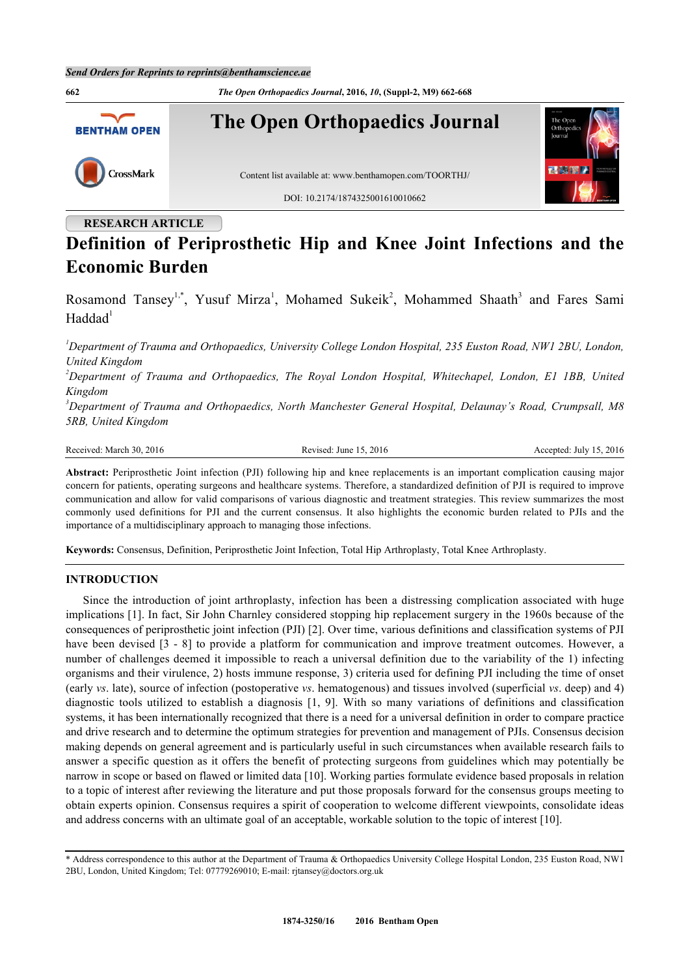

# **RESEARCH ARTICLE**

# **Definition of Periprosthetic Hip and Knee Joint Infections and the Economic Burden**

Rosamond Tansey<sup>[1,](#page-0-0)[\\*](#page-0-1)</sup>, Yusuf Mirza<sup>[1](#page-0-0)</sup>, Mohamed Sukeik<sup>[2](#page-0-2)</sup>, Mohammed Shaath<sup>[3](#page-0-3)</sup> and Fares Sami  $Haddad<sup>1</sup>$  $Haddad<sup>1</sup>$  $Haddad<sup>1</sup>$ 

<span id="page-0-0"></span>*<sup>1</sup>Department of Trauma and Orthopaedics, University College London Hospital, 235 Euston Road, NW1 2BU, London, United Kingdom*

<span id="page-0-2"></span>*<sup>2</sup>Department of Trauma and Orthopaedics, The Royal London Hospital, Whitechapel, London, E1 1BB, United Kingdom*

<span id="page-0-3"></span>*<sup>3</sup>Department of Trauma and Orthopaedics, North Manchester General Hospital, Delaunay's Road, Crumpsall, M8 5RB, United Kingdom*

Received: March 30, 2016 Revised: June 15, 2016 Revised: June 15, 2016 Accepted: July 15, 2016

**Abstract:** Periprosthetic Joint infection (PJI) following hip and knee replacements is an important complication causing major concern for patients, operating surgeons and healthcare systems. Therefore, a standardized definition of PJI is required to improve communication and allow for valid comparisons of various diagnostic and treatment strategies. This review summarizes the most commonly used definitions for PJI and the current consensus. It also highlights the economic burden related to PJIs and the importance of a multidisciplinary approach to managing those infections.

**Keywords:** Consensus, Definition, Periprosthetic Joint Infection, Total Hip Arthroplasty, Total Knee Arthroplasty.

# **INTRODUCTION**

Since the introduction of joint arthroplasty, infection has been a distressing complication associated with huge implications [[1\]](#page-5-0). In fact, Sir John Charnley considered stopping hip replacement surgery in the 1960s because of the consequences of periprosthetic joint infection (PJI) [\[2](#page-5-1)]. Over time, various definitions and classification systems of PJI have been devised  $\lceil 3 - 8 \rceil$  $\lceil 3 - 8 \rceil$  $\lceil 3 - 8 \rceil$  to provide a platform for communication and improve treatment outcomes. However, a number of challenges deemed it impossible to reach a universal definition due to the variability of the 1) infecting organisms and their virulence, 2) hosts immune response, 3) criteria used for defining PJI including the time of onset (early *vs*. late), source of infection (postoperative *vs*. hematogenous) and tissues involved (superficial *vs*. deep) and 4) diagnostic tools utilized to establish a diagnosis[[1](#page-5-0), [9\]](#page-5-4). With so many variations of definitions and classification systems, it has been internationally recognized that there is a need for a universal definition in order to compare practice and drive research and to determine the optimum strategies for prevention and management of PJIs. Consensus decision making depends on general agreement and is particularly useful in such circumstances when available research fails to answer a specific question as it offers the benefit of protecting surgeons from guidelines which may potentially be narrow in scope or based on flawed or limited data [[10](#page-5-5)]. Working parties formulate evidence based proposals in relation to a topic of interest after reviewing the literature and put those proposals forward for the consensus groups meeting to obtain experts opinion. Consensus requires a spirit of cooperation to welcome different viewpoints, consolidate ideas and address concerns with an ultimate goal of an acceptable, workable solution to the topic of interest [\[10](#page-5-5)].

<span id="page-0-1"></span><sup>\*</sup> Address correspondence to this author at the Department of Trauma & Orthopaedics University College Hospital London, 235 Euston Road, NW1 2BU, London, United Kingdom; Tel: 07779269010; E-mail: [rjtansey@doctors.org.uk](mailto:rjtansey@doctors.org.uk)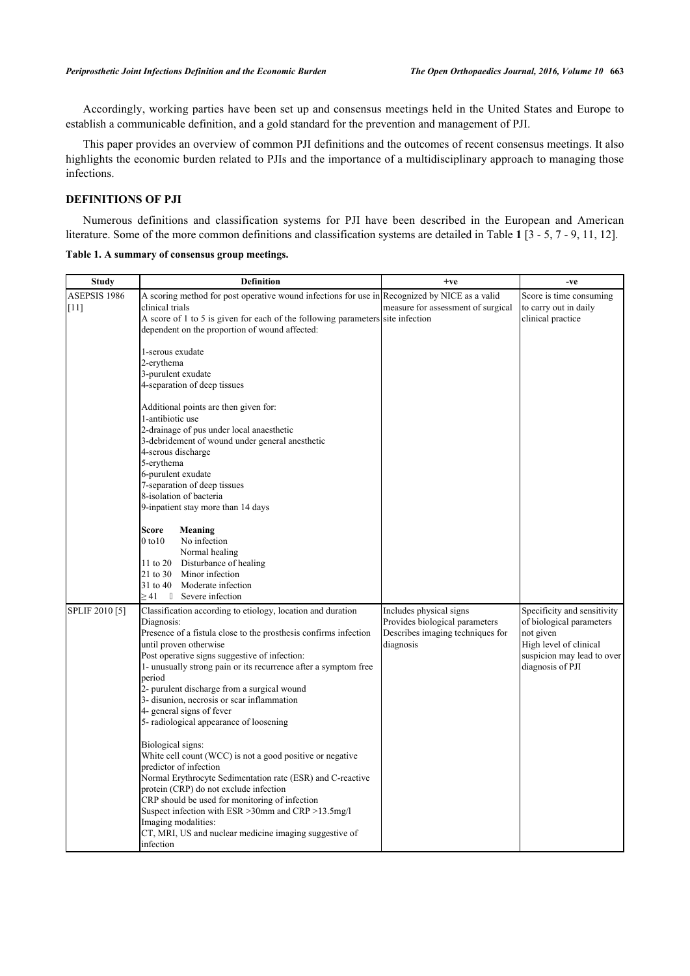Accordingly, working parties have been set up and consensus meetings held in the United States and Europe to establish a communicable definition, and a gold standard for the prevention and management of PJI.

This paper provides an overview of common PJI definitions and the outcomes of recent consensus meetings. It also highlights the economic burden related to PJIs and the importance of a multidisciplinary approach to managing those infections.

# **DEFINITIONS OF PJI**

Numerous definitions and classification systems for PJI have been described in the European and American literature. Some of the more common definitions and classification systems are detailed in Table **[1](#page-1-0)** [\[3](#page-5-2) - [5](#page-5-6), [7](#page-5-7) - [9,](#page-5-4) [11,](#page-6-0) [12\]](#page-6-1).

<span id="page-1-0"></span>**Table 1. A summary of consensus group meetings.**

| <b>Study</b>   | <b>Definition</b>                                                                             | $+ve$                              | -ve                         |
|----------------|-----------------------------------------------------------------------------------------------|------------------------------------|-----------------------------|
| ASEPSIS 1986   | A scoring method for post operative wound infections for use in Recognized by NICE as a valid |                                    | Score is time consuming     |
| IF 11 1        | clinical trials                                                                               | measure for assessment of surgical | to carry out in daily       |
|                | A score of 1 to 5 is given for each of the following parameters site infection                |                                    | clinical practice           |
|                | dependent on the proportion of wound affected:                                                |                                    |                             |
|                | 1-serous exudate                                                                              |                                    |                             |
|                | 2-erythema                                                                                    |                                    |                             |
|                | 3-purulent exudate                                                                            |                                    |                             |
|                | 4-separation of deep tissues                                                                  |                                    |                             |
|                |                                                                                               |                                    |                             |
|                | Additional points are then given for:                                                         |                                    |                             |
|                | 1-antibiotic use                                                                              |                                    |                             |
|                | 2-drainage of pus under local anaesthetic                                                     |                                    |                             |
|                | 3-debridement of wound under general anesthetic                                               |                                    |                             |
|                | 4-serous discharge                                                                            |                                    |                             |
|                | 5-erythema                                                                                    |                                    |                             |
|                | 6-purulent exudate                                                                            |                                    |                             |
|                | 7-separation of deep tissues                                                                  |                                    |                             |
|                | 8-isolation of bacteria                                                                       |                                    |                             |
|                | 9-inpatient stay more than 14 days                                                            |                                    |                             |
|                | Score<br>Meaning                                                                              |                                    |                             |
|                | $0$ to $10$<br>No infection                                                                   |                                    |                             |
|                | Normal healing                                                                                |                                    |                             |
|                | 11 to 20 Disturbance of healing                                                               |                                    |                             |
|                | 21 to 30 Minor infection                                                                      |                                    |                             |
|                | 31 to 40<br>Moderate infection                                                                |                                    |                             |
|                | $\geq$ 41<br>Severe infection                                                                 |                                    |                             |
| SPLIF 2010 [5] | Classification according to etiology, location and duration                                   | Includes physical signs            | Specificity and sensitivity |
|                | Diagnosis:                                                                                    | Provides biological parameters     | of biological parameters    |
|                | Presence of a fistula close to the prosthesis confirms infection                              | Describes imaging techniques for   | not given                   |
|                | until proven otherwise                                                                        | diagnosis                          | High level of clinical      |
|                | Post operative signs suggestive of infection:                                                 |                                    | suspicion may lead to over  |
|                | 1- unusually strong pain or its recurrence after a symptom free                               |                                    | diagnosis of PJI            |
|                | period                                                                                        |                                    |                             |
|                | 2- purulent discharge from a surgical wound                                                   |                                    |                             |
|                | 3- disunion, necrosis or scar inflammation                                                    |                                    |                             |
|                | 4- general signs of fever                                                                     |                                    |                             |
|                | 5- radiological appearance of loosening                                                       |                                    |                             |
|                | Biological signs:                                                                             |                                    |                             |
|                | White cell count (WCC) is not a good positive or negative                                     |                                    |                             |
|                | predictor of infection                                                                        |                                    |                             |
|                | Normal Erythrocyte Sedimentation rate (ESR) and C-reactive                                    |                                    |                             |
|                | protein (CRP) do not exclude infection                                                        |                                    |                             |
|                | CRP should be used for monitoring of infection                                                |                                    |                             |
|                | Suspect infection with ESR > 30mm and CRP > 13.5mg/l                                          |                                    |                             |
|                | Imaging modalities:                                                                           |                                    |                             |
|                | CT, MRI, US and nuclear medicine imaging suggestive of                                        |                                    |                             |
|                | infection                                                                                     |                                    |                             |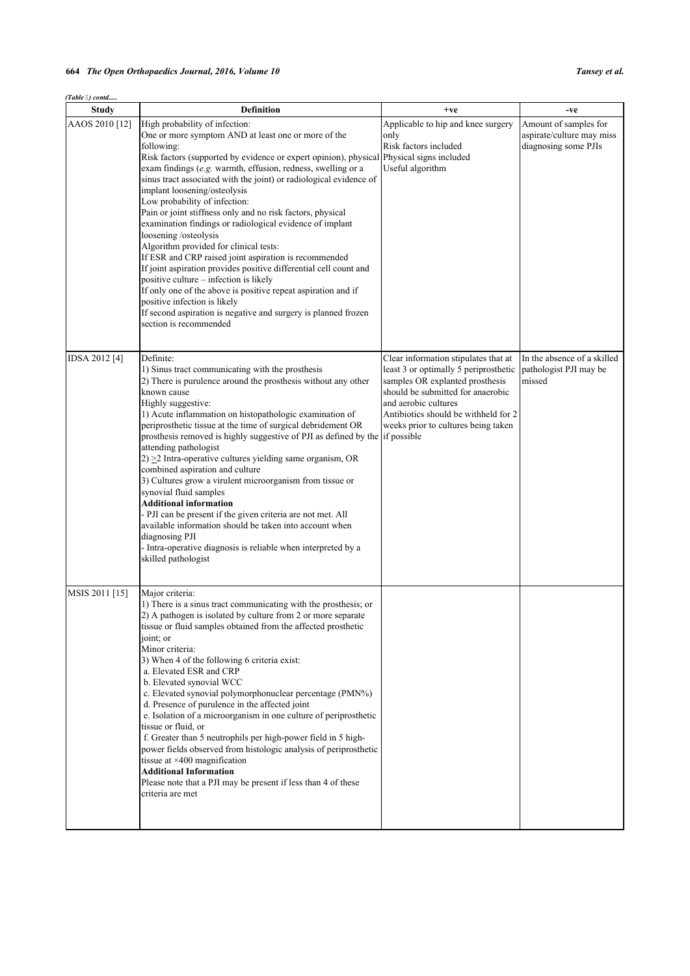| (Table 3) contd |                                                                                                                                                                                                                                                                                                                                                                                                                                                                                                                                                                                                                                                                                                                                                                                                                                                                                                                                                  |                                                                                                                                                                                                                                                              |                                                                            |  |
|-----------------|--------------------------------------------------------------------------------------------------------------------------------------------------------------------------------------------------------------------------------------------------------------------------------------------------------------------------------------------------------------------------------------------------------------------------------------------------------------------------------------------------------------------------------------------------------------------------------------------------------------------------------------------------------------------------------------------------------------------------------------------------------------------------------------------------------------------------------------------------------------------------------------------------------------------------------------------------|--------------------------------------------------------------------------------------------------------------------------------------------------------------------------------------------------------------------------------------------------------------|----------------------------------------------------------------------------|--|
| <b>Study</b>    | <b>Definition</b>                                                                                                                                                                                                                                                                                                                                                                                                                                                                                                                                                                                                                                                                                                                                                                                                                                                                                                                                | $+ve$                                                                                                                                                                                                                                                        | -ve                                                                        |  |
| AAOS 2010 [12]  | High probability of infection:<br>One or more symptom AND at least one or more of the<br>following:<br>Risk factors (supported by evidence or expert opinion), physical<br>exam findings (e.g. warmth, effusion, redness, swelling or a<br>sinus tract associated with the joint) or radiological evidence of<br>implant loosening/osteolysis<br>Low probability of infection:<br>Pain or joint stiffness only and no risk factors, physical<br>examination findings or radiological evidence of implant<br>loosening /osteolysis<br>Algorithm provided for clinical tests:<br>If ESR and CRP raised joint aspiration is recommended<br>If joint aspiration provides positive differential cell count and<br>positive culture – infection is likely<br>If only one of the above is positive repeat aspiration and if<br>positive infection is likely<br>If second aspiration is negative and surgery is planned frozen<br>section is recommended | Applicable to hip and knee surgery<br>only<br>Risk factors included<br>Physical signs included<br>Useful algorithm                                                                                                                                           | Amount of samples for<br>aspirate/culture may miss<br>diagnosing some PJIs |  |
| IDSA 2012 [4]   | Definite:<br>1) Sinus tract communicating with the prosthesis<br>2) There is purulence around the prosthesis without any other<br>known cause<br>Highly suggestive:<br>1) Acute inflammation on histopathologic examination of<br>periprosthetic tissue at the time of surgical debridement OR<br>prosthesis removed is highly suggestive of PJI as defined by the if possible<br>attending pathologist<br>$2) \geq 2$ Intra-operative cultures yielding same organism, OR<br>combined aspiration and culture<br>3) Cultures grow a virulent microorganism from tissue or<br>synovial fluid samples<br><b>Additional information</b><br>- PJI can be present if the given criteria are not met. All<br>available information should be taken into account when<br>diagnosing PJI<br>- Intra-operative diagnosis is reliable when interpreted by a<br>skilled pathologist                                                                         | Clear information stipulates that at<br>least 3 or optimally 5 periprosthetic<br>samples OR explanted prosthesis<br>should be submitted for anaerobic<br>and aerobic cultures<br>Antibiotics should be withheld for 2<br>weeks prior to cultures being taken | In the absence of a skilled<br>pathologist PJI may be<br>missed            |  |
| MSIS 2011 [15]  | Major criteria:<br>1) There is a sinus tract communicating with the prosthesis; or<br>2) A pathogen is isolated by culture from 2 or more separate<br>tissue or fluid samples obtained from the affected prosthetic<br>joint; or<br>Minor criteria:<br>3) When 4 of the following 6 criteria exist:<br>a. Elevated ESR and CRP<br>b. Elevated synovial WCC<br>c. Elevated synovial polymorphonuclear percentage (PMN%)<br>d. Presence of purulence in the affected joint<br>e. Isolation of a microorganism in one culture of periprosthetic<br>tissue or fluid, or<br>f. Greater than 5 neutrophils per high-power field in 5 high-<br>power fields observed from histologic analysis of periprosthetic<br>tissue at $\times$ 400 magnification<br><b>Additional Information</b><br>Please note that a PJI may be present if less than 4 of these<br>criteria are met                                                                           |                                                                                                                                                                                                                                                              |                                                                            |  |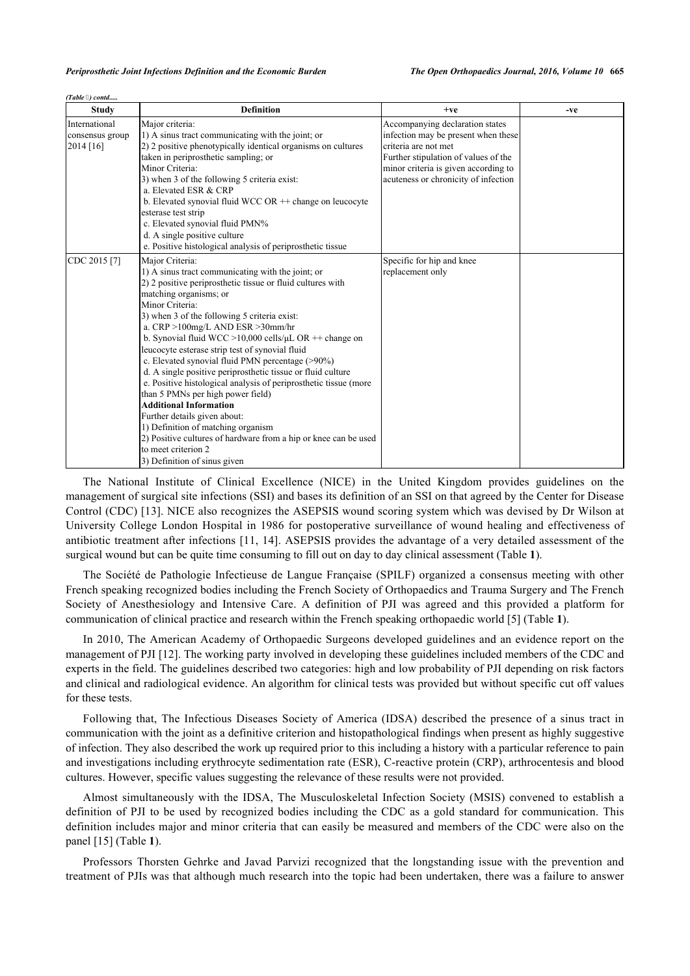|  | (Table 3) contd |
|--|-----------------|

| <b>Study</b>                                  | <b>Definition</b>                                                                                                                                                                                                                                                                                                                                                                                                                                                                                                                                                                                                                                                                                                                                                                                                                                    | $+ve$                                                                                                                                                                                                                  | -ve |
|-----------------------------------------------|------------------------------------------------------------------------------------------------------------------------------------------------------------------------------------------------------------------------------------------------------------------------------------------------------------------------------------------------------------------------------------------------------------------------------------------------------------------------------------------------------------------------------------------------------------------------------------------------------------------------------------------------------------------------------------------------------------------------------------------------------------------------------------------------------------------------------------------------------|------------------------------------------------------------------------------------------------------------------------------------------------------------------------------------------------------------------------|-----|
| International<br>consensus group<br>2014 [16] | Major criteria:<br>1) A sinus tract communicating with the joint; or<br>2) 2 positive phenotypically identical organisms on cultures<br>taken in periprosthetic sampling; or<br>Minor Criteria:<br>3) when 3 of the following 5 criteria exist:<br>a. Elevated ESR & CRP<br>b. Elevated synovial fluid WCC OR $+$ change on leucocyte<br>esterase test strip<br>c. Elevated synovial fluid PMN%<br>d. A single positive culture<br>e. Positive histological analysis of periprosthetic tissue                                                                                                                                                                                                                                                                                                                                                        | Accompanying declaration states<br>infection may be present when these<br>criteria are not met<br>Further stipulation of values of the<br>minor criteria is given according to<br>acuteness or chronicity of infection |     |
| CDC 2015 [7]                                  | Major Criteria:<br>1) A sinus tract communicating with the joint; or<br>2) 2 positive periprosthetic tissue or fluid cultures with<br>matching organisms; or<br>Minor Criteria:<br>3) when 3 of the following 5 criteria exist:<br>a. CRP >100mg/L AND ESR >30mm/hr<br>b. Synovial fluid WCC > 10,000 cells/ $\mu$ L OR ++ change on<br>leucocyte esterase strip test of synovial fluid<br>c. Elevated synovial fluid PMN percentage (>90%)<br>d. A single positive periprosthetic tissue or fluid culture<br>e. Positive histological analysis of periprosthetic tissue (more<br>than 5 PMNs per high power field)<br><b>Additional Information</b><br>Further details given about:<br>1) Definition of matching organism<br>2) Positive cultures of hardware from a hip or knee can be used<br>to meet criterion 2<br>3) Definition of sinus given | Specific for hip and knee<br>replacement only                                                                                                                                                                          |     |

The National Institute of Clinical Excellence (NICE) in the United Kingdom provides guidelines on the management of surgical site infections (SSI) and bases its definition of an SSI on that agreed by the Center for Disease Control (CDC) [\[13](#page-6-4)]. NICE also recognizes the ASEPSIS wound scoring system which was devised by Dr Wilson at University College London Hospital in 1986 for postoperative surveillance of wound healing and effectiveness of antibiotic treatment after infections [\[11](#page-6-0), [14\]](#page-6-5). ASEPSIS provides the advantage of a very detailed assessment of the surgical wound but can be quite time consuming to fill out on day to day clinical assessment (Table **[1](#page-1-0)**).

The Société de Pathologie Infectieuse de Langue Française (SPILF) organized a consensus meeting with other French speaking recognized bodies including the French Society of Orthopaedics and Trauma Surgery and The French Society of Anesthesiology and Intensive Care. A definition of PJI was agreed and this provided a platform for communication of clinical practice and research within the French speaking orthopaedic world [\[5](#page-5-6)] (Table **[1](#page-1-0)**).

In 2010, The American Academy of Orthopaedic Surgeons developed guidelines and an evidence report on the management of PJI [\[12](#page-6-1)]. The working party involved in developing these guidelines included members of the CDC and experts in the field. The guidelines described two categories: high and low probability of PJI depending on risk factors and clinical and radiological evidence. An algorithm for clinical tests was provided but without specific cut off values for these tests.

Following that, The Infectious Diseases Society of America (IDSA) described the presence of a sinus tract in communication with the joint as a definitive criterion and histopathological findings when present as highly suggestive of infection. They also described the work up required prior to this including a history with a particular reference to pain and investigations including erythrocyte sedimentation rate (ESR), C-reactive protein (CRP), arthrocentesis and blood cultures. However, specific values suggesting the relevance of these results were not provided.

Almost simultaneously with the IDSA, The Musculoskeletal Infection Society (MSIS) convened to establish a definition of PJI to be used by recognized bodies including the CDC as a gold standard for communication. This definition includes major and minor criteria that can easily be measured and members of the CDC were also on the panel [\[15](#page-6-2)] (Table **[1](#page-1-0)**).

Professors Thorsten Gehrke and Javad Parvizi recognized that the longstanding issue with the prevention and treatment of PJIs was that although much research into the topic had been undertaken, there was a failure to answer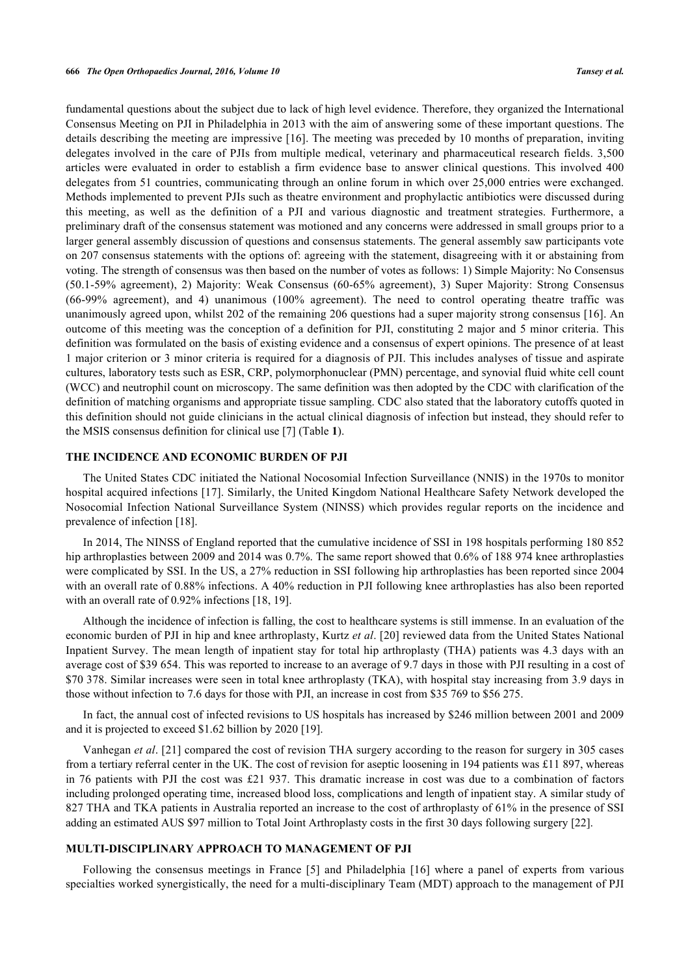fundamental questions about the subject due to lack of high level evidence. Therefore, they organized the International Consensus Meeting on PJI in Philadelphia in 2013 with the aim of answering some of these important questions. The details describing the meeting are impressive [\[16](#page-6-3)]. The meeting was preceded by 10 months of preparation, inviting delegates involved in the care of PJIs from multiple medical, veterinary and pharmaceutical research fields. 3,500 articles were evaluated in order to establish a firm evidence base to answer clinical questions. This involved 400 delegates from 51 countries, communicating through an online forum in which over 25,000 entries were exchanged. Methods implemented to prevent PJIs such as theatre environment and prophylactic antibiotics were discussed during this meeting, as well as the definition of a PJI and various diagnostic and treatment strategies. Furthermore, a preliminary draft of the consensus statement was motioned and any concerns were addressed in small groups prior to a larger general assembly discussion of questions and consensus statements. The general assembly saw participants vote on 207 consensus statements with the options of: agreeing with the statement, disagreeing with it or abstaining from voting. The strength of consensus was then based on the number of votes as follows: 1) Simple Majority: No Consensus (50.1-59% agreement), 2) Majority: Weak Consensus (60-65% agreement), 3) Super Majority: Strong Consensus (66-99% agreement), and 4) unanimous (100% agreement). The need to control operating theatre traffic was unanimously agreed upon, whilst 202 of the remaining 206 questions had a super majority strong consensus [\[16](#page-6-3)]. An outcome of this meeting was the conception of a definition for PJI, constituting 2 major and 5 minor criteria. This definition was formulated on the basis of existing evidence and a consensus of expert opinions. The presence of at least 1 major criterion or 3 minor criteria is required for a diagnosis of PJI. This includes analyses of tissue and aspirate cultures, laboratory tests such as ESR, CRP, polymorphonuclear (PMN) percentage, and synovial fluid white cell count (WCC) and neutrophil count on microscopy. The same definition was then adopted by the CDC with clarification of the definition of matching organisms and appropriate tissue sampling. CDC also stated that the laboratory cutoffs quoted in this definition should not guide clinicians in the actual clinical diagnosis of infection but instead, they should refer to the MSIS consensus definition for clinical use [[7\]](#page-5-7) (Table **[1](#page-1-0)**).

#### **THE INCIDENCE AND ECONOMIC BURDEN OF PJI**

The United States CDC initiated the National Nocosomial Infection Surveillance (NNIS) in the 1970s to monitor hospital acquired infections [\[17](#page-6-6)]. Similarly, the United Kingdom National Healthcare Safety Network developed the Nosocomial Infection National Surveillance System (NINSS) which provides regular reports on the incidence and prevalence of infection [[18\]](#page-6-7).

In 2014, The NINSS of England reported that the cumulative incidence of SSI in 198 hospitals performing 180 852 hip arthroplasties between 2009 and 2014 was 0.7%. The same report showed that 0.6% of 188 974 knee arthroplasties were complicated by SSI. In the US, a 27% reduction in SSI following hip arthroplasties has been reported since 2004 with an overall rate of 0.88% infections. A 40% reduction in PJI following knee arthroplasties has also been reported with an overall rate of 0.92% infections [\[18](#page-6-7), [19](#page-6-8)].

Although the incidence of infection is falling, the cost to healthcare systems is still immense. In an evaluation of the economic burden of PJI in hip and knee arthroplasty, Kurtz *et al*. [\[20](#page-6-9)] reviewed data from the United States National Inpatient Survey. The mean length of inpatient stay for total hip arthroplasty (THA) patients was 4.3 days with an average cost of \$39 654. This was reported to increase to an average of 9.7 days in those with PJI resulting in a cost of \$70 378. Similar increases were seen in total knee arthroplasty (TKA), with hospital stay increasing from 3.9 days in those without infection to 7.6 days for those with PJI, an increase in cost from \$35 769 to \$56 275.

In fact, the annual cost of infected revisions to US hospitals has increased by \$246 million between 2001 and 2009 and it is projected to exceed \$1.62 billion by 2020 [\[19](#page-6-8)].

Vanhegan *et al*. [[21](#page-6-10)] compared the cost of revision THA surgery according to the reason for surgery in 305 cases from a tertiary referral center in the UK. The cost of revision for aseptic loosening in 194 patients was £11 897, whereas in 76 patients with PJI the cost was £21 937. This dramatic increase in cost was due to a combination of factors including prolonged operating time, increased blood loss, complications and length of inpatient stay. A similar study of 827 THA and TKA patients in Australia reported an increase to the cost of arthroplasty of 61% in the presence of SSI adding an estimated AUS \$97 million to Total Joint Arthroplasty costs in the first 30 days following surgery [\[22](#page-6-11)].

#### **MULTI-DISCIPLINARY APPROACH TO MANAGEMENT OF PJI**

Following the consensus meetings in France[[5\]](#page-5-6) and Philadelphia[[16\]](#page-6-3) where a panel of experts from various specialties worked synergistically, the need for a multi-disciplinary Team (MDT) approach to the management of PJI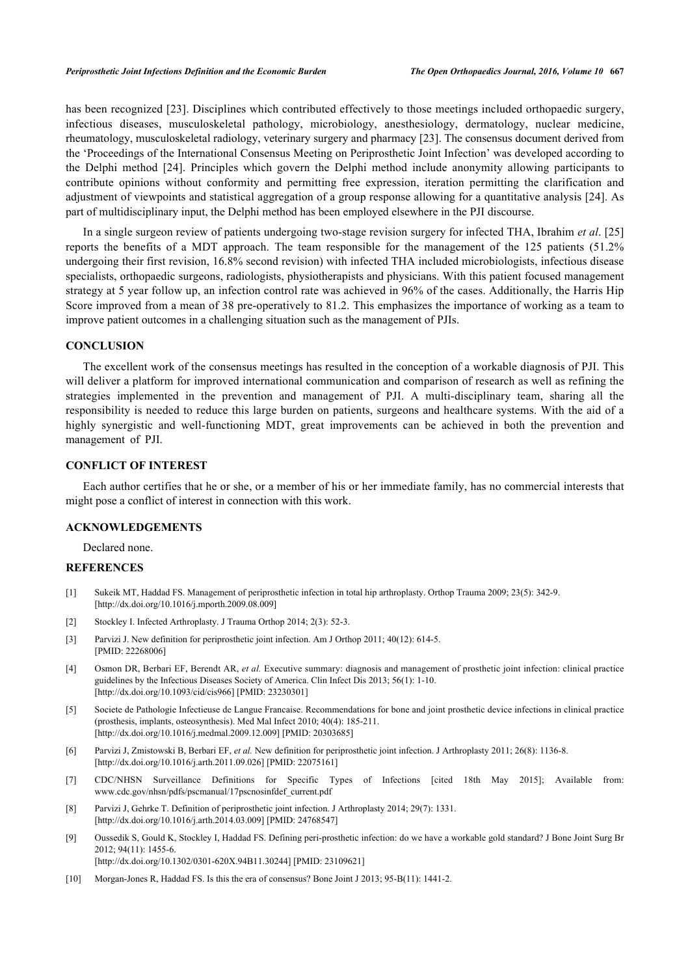has been recognized [[23](#page-6-12)]. Disciplines which contributed effectively to those meetings included orthopaedic surgery, infectious diseases, musculoskeletal pathology, microbiology, anesthesiology, dermatology, nuclear medicine, rheumatology, musculoskeletal radiology, veterinary surgery and pharmacy [\[23](#page-6-12)]. The consensus document derived from the 'Proceedings of the International Consensus Meeting on Periprosthetic Joint Infection' was developed according to the Delphi method[[24](#page-6-13)]. Principles which govern the Delphi method include anonymity allowing participants to contribute opinions without conformity and permitting free expression, iteration permitting the clarification and adjustment of viewpoints and statistical aggregation of a group response allowing for a quantitative analysis [\[24\]](#page-6-13). As part of multidisciplinary input, the Delphi method has been employed elsewhere in the PJI discourse.

In a single surgeon review of patients undergoing two-stage revision surgery for infected THA, Ibrahim *et al*. [\[25](#page-6-14)] reports the benefits of a MDT approach. The team responsible for the management of the 125 patients (51.2% undergoing their first revision, 16.8% second revision) with infected THA included microbiologists, infectious disease specialists, orthopaedic surgeons, radiologists, physiotherapists and physicians. With this patient focused management strategy at 5 year follow up, an infection control rate was achieved in 96% of the cases. Additionally, the Harris Hip Score improved from a mean of 38 pre-operatively to 81.2. This emphasizes the importance of working as a team to improve patient outcomes in a challenging situation such as the management of PJIs.

#### **CONCLUSION**

The excellent work of the consensus meetings has resulted in the conception of a workable diagnosis of PJI. This will deliver a platform for improved international communication and comparison of research as well as refining the strategies implemented in the prevention and management of PJI. A multi-disciplinary team, sharing all the responsibility is needed to reduce this large burden on patients, surgeons and healthcare systems. With the aid of a highly synergistic and well-functioning MDT, great improvements can be achieved in both the prevention and management of PJI.

## **CONFLICT OF INTEREST**

Each author certifies that he or she, or a member of his or her immediate family, has no commercial interests that might pose a conflict of interest in connection with this work.

# **ACKNOWLEDGEMENTS**

Declared none.

#### **REFERENCES**

- <span id="page-5-0"></span>[1] Sukeik MT, Haddad FS. Management of periprosthetic infection in total hip arthroplasty. Orthop Trauma 2009; 23(5): 342-9. [\[http://dx.doi.org/10.1016/j.mporth.2009.08.009](http://dx.doi.org/10.1016/j.mporth.2009.08.009)]
- <span id="page-5-1"></span>[2] Stockley I. Infected Arthroplasty. J Trauma Orthop 2014; 2(3): 52-3.
- <span id="page-5-2"></span>[3] Parvizi J. New definition for periprosthetic joint infection. Am J Orthop 2011; 40(12): 614-5. [PMID: [22268006\]](http://www.ncbi.nlm.nih.gov/pubmed/22268006)
- <span id="page-5-8"></span>[4] Osmon DR, Berbari EF, Berendt AR, *et al.* Executive summary: diagnosis and management of prosthetic joint infection: clinical practice guidelines by the Infectious Diseases Society of America. Clin Infect Dis 2013; 56(1): 1-10. [\[http://dx.doi.org/10.1093/cid/cis966\]](http://dx.doi.org/10.1093/cid/cis966) [PMID: [23230301](http://www.ncbi.nlm.nih.gov/pubmed/23230301)]
- <span id="page-5-6"></span>[5] Societe de Pathologie Infectieuse de Langue Francaise. Recommendations for bone and joint prosthetic device infections in clinical practice (prosthesis, implants, osteosynthesis). Med Mal Infect 2010; 40(4): 185-211. [\[http://dx.doi.org/10.1016/j.medmal.2009.12.009\]](http://dx.doi.org/10.1016/j.medmal.2009.12.009) [PMID: [20303685](http://www.ncbi.nlm.nih.gov/pubmed/20303685)]
- [6] Parvizi J, Zmistowski B, Berbari EF, *et al.* New definition for periprosthetic joint infection. J Arthroplasty 2011; 26(8): 1136-8. [\[http://dx.doi.org/10.1016/j.arth.2011.09.026](http://dx.doi.org/10.1016/j.arth.2011.09.026)] [PMID: [22075161](http://www.ncbi.nlm.nih.gov/pubmed/22075161)]
- <span id="page-5-7"></span>[7] CDC/NHSN Surveillance Definitions for Specific Types of Infections [cited 18th May 2015]; Available from: [www.cdc.gov/nhsn/pdfs/pscmanual/17pscnosinfdef\\_current.pdf](http://192.168.111.2/oa/www.cdc.gov/nhsn/PDFs/pscManual/17pscNosInfDef_current.pdf)
- <span id="page-5-3"></span>[8] Parvizi J, Gehrke T. Definition of periprosthetic joint infection. J Arthroplasty 2014; 29(7): 1331. [\[http://dx.doi.org/10.1016/j.arth.2014.03.009](http://dx.doi.org/10.1016/j.arth.2014.03.009)] [PMID: [24768547](http://www.ncbi.nlm.nih.gov/pubmed/24768547)]
- <span id="page-5-4"></span>[9] Oussedik S, Gould K, Stockley I, Haddad FS. Defining peri-prosthetic infection: do we have a workable gold standard? J Bone Joint Surg Br 2012; 94(11): 1455-6. [\[http://dx.doi.org/10.1302/0301-620X.94B11.30244\]](http://dx.doi.org/10.1302/0301-620X.94B11.30244) [PMID: [23109621](http://www.ncbi.nlm.nih.gov/pubmed/23109621)]
- <span id="page-5-5"></span>[10] Morgan-Jones R, Haddad FS. Is this the era of consensus? Bone Joint J 2013; 95-B(11): 1441-2.